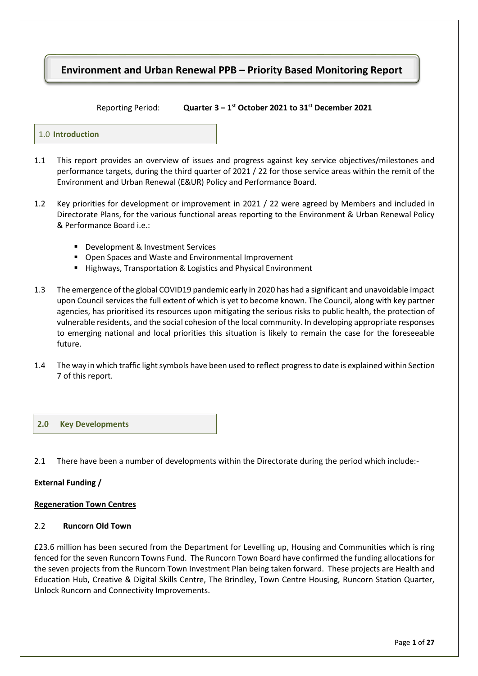# **Environment and Urban Renewal PPB – Priority Based Monitoring Report**

 $Reporting Period:$ **st October 2021 to 31 st December 2021** 

#### 1.0 **Introduction**

- 1.1 This report provides an overview of issues and progress against key service objectives/milestones and performance targets, during the third quarter of 2021 / 22 for those service areas within the remit of the Environment and Urban Renewal (E&UR) Policy and Performance Board.
- 1.2 Key priorities for development or improvement in 2021 / 22 were agreed by Members and included in Directorate Plans, for the various functional areas reporting to the Environment & Urban Renewal Policy & Performance Board i.e.:
	- Development & Investment Services
	- **Open Spaces and Waste and Environmental Improvement**
	- Highways, Transportation & Logistics and Physical Environment
- 1.3 The emergence of the global COVID19 pandemic early in 2020 has had a significant and unavoidable impact upon Council services the full extent of which is yet to become known. The Council, along with key partner agencies, has prioritised its resources upon mitigating the serious risks to public health, the protection of vulnerable residents, and the social cohesion of the local community. In developing appropriate responses to emerging national and local priorities this situation is likely to remain the case for the foreseeable future.
- 1.4 The way in which traffic light symbols have been used to reflect progress to date is explained within Section 7 of this report.

#### **2.0 Key Developments**

2.1 There have been a number of developments within the Directorate during the period which include:-

#### **External Funding /**

#### **Regeneration Town Centres**

### 2.2 **Runcorn Old Town**

£23.6 million has been secured from the Department for Levelling up, Housing and Communities which is ring fenced for the seven Runcorn Towns Fund. The Runcorn Town Board have confirmed the funding allocations for the seven projects from the Runcorn Town Investment Plan being taken forward. These projects are Health and Education Hub, Creative & Digital Skills Centre, The Brindley, Town Centre Housing, Runcorn Station Quarter, Unlock Runcorn and Connectivity Improvements.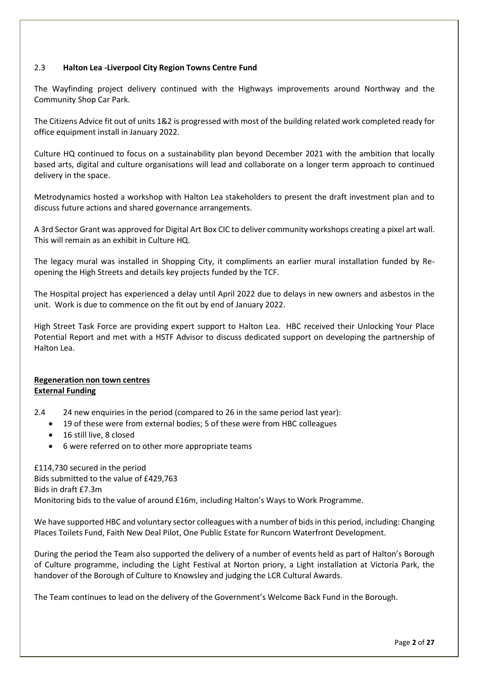## 2.3 **Halton Lea -Liverpool City Region Towns Centre Fund**

The Wayfinding project delivery continued with the Highways improvements around Northway and the Community Shop Car Park.

The Citizens Advice fit out of units 1&2 is progressed with most of the building related work completed ready for office equipment install in January 2022.

Culture HQ continued to focus on a sustainability plan beyond December 2021 with the ambition that locally based arts, digital and culture organisations will lead and collaborate on a longer term approach to continued delivery in the space.

Metrodynamics hosted a workshop with Halton Lea stakeholders to present the draft investment plan and to discuss future actions and shared governance arrangements.

A 3rd Sector Grant was approved for Digital Art Box CIC to deliver community workshops creating a pixel art wall. This will remain as an exhibit in Culture HQ.

The legacy mural was installed in Shopping City, it compliments an earlier mural installation funded by Reopening the High Streets and details key projects funded by the TCF.

The Hospital project has experienced a delay until April 2022 due to delays in new owners and asbestos in the unit. Work is due to commence on the fit out by end of January 2022.

High Street Task Force are providing expert support to Halton Lea. HBC received their Unlocking Your Place Potential Report and met with a HSTF Advisor to discuss dedicated support on developing the partnership of Halton Lea.

#### **Regeneration non town centres External Funding**

2.4 24 new enquiries in the period (compared to 26 in the same period last year):

- 19 of these were from external bodies; 5 of these were from HBC colleagues
- 16 still live, 8 closed
- 6 were referred on to other more appropriate teams

£114,730 secured in the period Bids submitted to the value of £429,763 Bids in draft £7.3m Monitoring bids to the value of around £16m, including Halton's Ways to Work Programme.

We have supported HBC and voluntary sector colleagues with a number of bids in this period, including: Changing Places Toilets Fund, Faith New Deal Pilot, One Public Estate for Runcorn Waterfront Development.

During the period the Team also supported the delivery of a number of events held as part of Halton's Borough of Culture programme, including the Light Festival at Norton priory, a Light installation at Victoria Park, the handover of the Borough of Culture to Knowsley and judging the LCR Cultural Awards.

The Team continues to lead on the delivery of the Government's Welcome Back Fund in the Borough.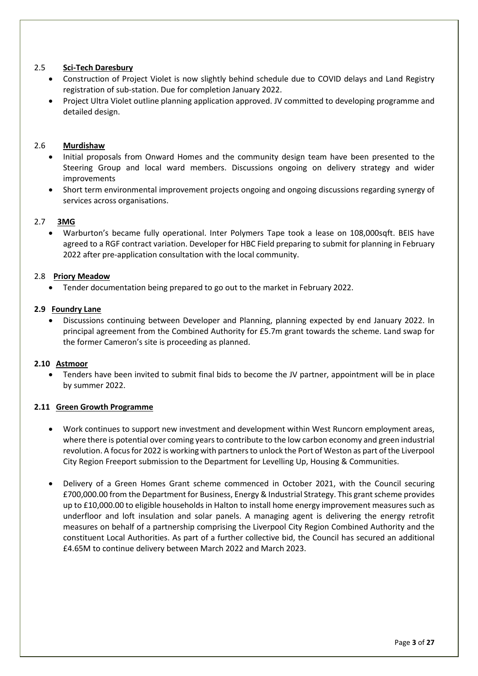## 2.5 **Sci-Tech Daresbury**

- Construction of Project Violet is now slightly behind schedule due to COVID delays and Land Registry registration of sub-station. Due for completion January 2022.
- Project Ultra Violet outline planning application approved. JV committed to developing programme and detailed design.

### 2.6 **Murdishaw**

- Initial proposals from Onward Homes and the community design team have been presented to the Steering Group and local ward members. Discussions ongoing on delivery strategy and wider improvements
- Short term environmental improvement projects ongoing and ongoing discussions regarding synergy of services across organisations.

#### 2.7 **3MG**

 Warburton's became fully operational. Inter Polymers Tape took a lease on 108,000sqft. BEIS have agreed to a RGF contract variation. Developer for HBC Field preparing to submit for planning in February 2022 after pre-application consultation with the local community.

#### 2.8 **Priory Meadow**

Tender documentation being prepared to go out to the market in February 2022.

#### **2.9 Foundry Lane**

 Discussions continuing between Developer and Planning, planning expected by end January 2022. In principal agreement from the Combined Authority for £5.7m grant towards the scheme. Land swap for the former Cameron's site is proceeding as planned.

#### **2.10 Astmoor**

 Tenders have been invited to submit final bids to become the JV partner, appointment will be in place by summer 2022.

#### **2.11 Green Growth Programme**

- Work continues to support new investment and development within West Runcorn employment areas, where there is potential over coming years to contribute to the low carbon economy and green industrial revolution. A focus for 2022 is working with partners to unlock the Port of Weston as part of the Liverpool City Region Freeport submission to the Department for Levelling Up, Housing & Communities.
- Delivery of a Green Homes Grant scheme commenced in October 2021, with the Council securing £700,000.00 from the Department for Business, Energy & Industrial Strategy. This grant scheme provides up to £10,000.00 to eligible households in Halton to install home energy improvement measures such as underfloor and loft insulation and solar panels. A managing agent is delivering the energy retrofit measures on behalf of a partnership comprising the Liverpool City Region Combined Authority and the constituent Local Authorities. As part of a further collective bid, the Council has secured an additional £4.65M to continue delivery between March 2022 and March 2023.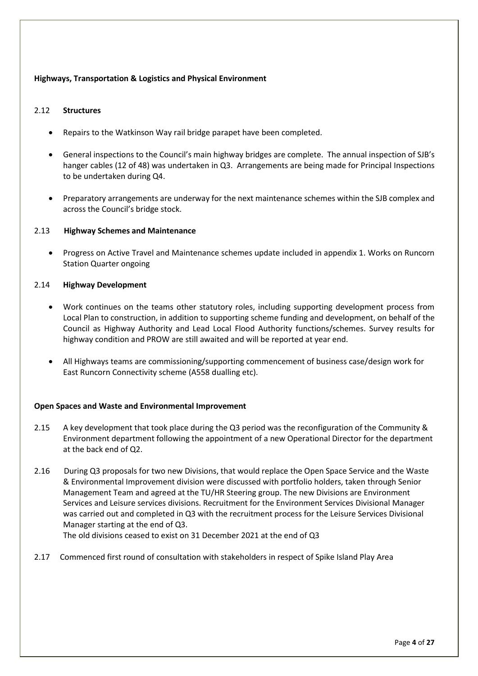## **Highways, Transportation & Logistics and Physical Environment**

### 2.12 **Structures**

- Repairs to the Watkinson Way rail bridge parapet have been completed.
- General inspections to the Council's main highway bridges are complete. The annual inspection of SJB's hanger cables (12 of 48) was undertaken in Q3. Arrangements are being made for Principal Inspections to be undertaken during Q4.
- Preparatory arrangements are underway for the next maintenance schemes within the SJB complex and across the Council's bridge stock.

#### 2.13 **Highway Schemes and Maintenance**

 Progress on Active Travel and Maintenance schemes update included in appendix 1. Works on Runcorn Station Quarter ongoing

### 2.14 **Highway Development**

- Work continues on the teams other statutory roles, including supporting development process from Local Plan to construction, in addition to supporting scheme funding and development, on behalf of the Council as Highway Authority and Lead Local Flood Authority functions/schemes. Survey results for highway condition and PROW are still awaited and will be reported at year end.
- All Highways teams are commissioning/supporting commencement of business case/design work for East Runcorn Connectivity scheme (A558 dualling etc).

#### **Open Spaces and Waste and Environmental Improvement**

- 2.15 A key development that took place during the Q3 period was the reconfiguration of the Community & Environment department following the appointment of a new Operational Director for the department at the back end of Q2.
- 2.16 During Q3 proposals for two new Divisions, that would replace the Open Space Service and the Waste & Environmental Improvement division were discussed with portfolio holders, taken through Senior Management Team and agreed at the TU/HR Steering group. The new Divisions are Environment Services and Leisure services divisions. Recruitment for the Environment Services Divisional Manager was carried out and completed in Q3 with the recruitment process for the Leisure Services Divisional Manager starting at the end of Q3.

The old divisions ceased to exist on 31 December 2021 at the end of Q3

2.17 Commenced first round of consultation with stakeholders in respect of Spike Island Play Area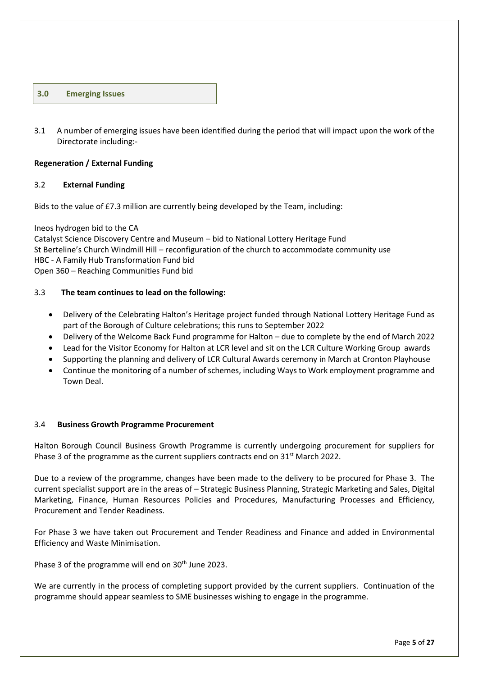#### **3.0 Emerging Issues**

3.1 A number of emerging issues have been identified during the period that will impact upon the work of the Directorate including:-

#### **Regeneration / External Funding**

#### 3.2 **External Funding**

Bids to the value of £7.3 million are currently being developed by the Team, including:

Ineos hydrogen bid to the CA Catalyst Science Discovery Centre and Museum – bid to National Lottery Heritage Fund St Berteline's Church Windmill Hill – reconfiguration of the church to accommodate community use HBC - A Family Hub Transformation Fund bid Open 360 – Reaching Communities Fund bid

#### 3.3 **The team continues to lead on the following:**

- Delivery of the Celebrating Halton's Heritage project funded through National Lottery Heritage Fund as part of the Borough of Culture celebrations; this runs to September 2022
- Delivery of the Welcome Back Fund programme for Halton due to complete by the end of March 2022
- Lead for the Visitor Economy for Halton at LCR level and sit on the LCR Culture Working Group awards
- Supporting the planning and delivery of LCR Cultural Awards ceremony in March at Cronton Playhouse
- Continue the monitoring of a number of schemes, including Ways to Work employment programme and Town Deal.

#### 3.4 **Business Growth Programme Procurement**

Halton Borough Council Business Growth Programme is currently undergoing procurement for suppliers for Phase 3 of the programme as the current suppliers contracts end on 31<sup>st</sup> March 2022.

Due to a review of the programme, changes have been made to the delivery to be procured for Phase 3. The current specialist support are in the areas of – Strategic Business Planning, Strategic Marketing and Sales, Digital Marketing, Finance, Human Resources Policies and Procedures, Manufacturing Processes and Efficiency, Procurement and Tender Readiness.

For Phase 3 we have taken out Procurement and Tender Readiness and Finance and added in Environmental Efficiency and Waste Minimisation.

Phase 3 of the programme will end on 30<sup>th</sup> June 2023.

We are currently in the process of completing support provided by the current suppliers. Continuation of the programme should appear seamless to SME businesses wishing to engage in the programme.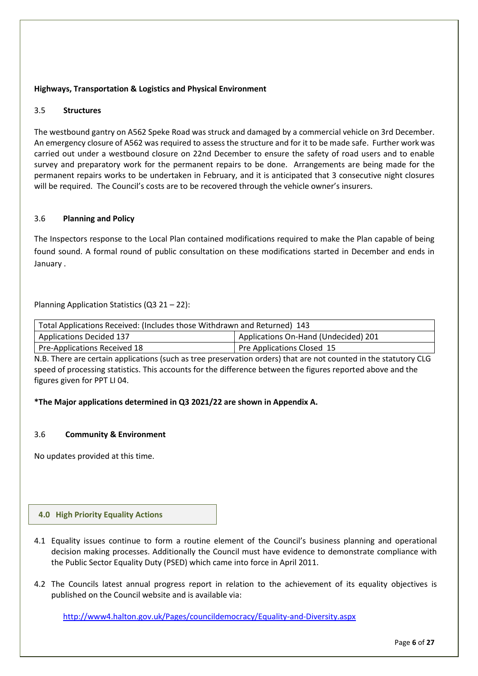## **Highways, Transportation & Logistics and Physical Environment**

### 3.5 **Structures**

The westbound gantry on A562 Speke Road was struck and damaged by a commercial vehicle on 3rd December. An emergency closure of A562 was required to assess the structure and for it to be made safe. Further work was carried out under a westbound closure on 22nd December to ensure the safety of road users and to enable survey and preparatory work for the permanent repairs to be done. Arrangements are being made for the permanent repairs works to be undertaken in February, and it is anticipated that 3 consecutive night closures will be required. The Council's costs are to be recovered through the vehicle owner's insurers.

## 3.6 **Planning and Policy**

The Inspectors response to the Local Plan contained modifications required to make the Plan capable of being found sound. A formal round of public consultation on these modifications started in December and ends in January .

Planning Application Statistics (Q3 21 – 22):

| Total Applications Received: (Includes those Withdrawn and Returned) 143 |  |  |  |  |
|--------------------------------------------------------------------------|--|--|--|--|
| Applications On-Hand (Undecided) 201<br><b>Applications Decided 137</b>  |  |  |  |  |
| Pre-Applications Received 18<br>Pre Applications Closed 15               |  |  |  |  |

N.B. There are certain applications (such as tree preservation orders) that are not counted in the statutory CLG speed of processing statistics. This accounts for the difference between the figures reported above and the figures given for PPT LI 04.

### **\*The Major applications determined in Q3 2021/22 are shown in Appendix A.**

#### 3.6 **Community & Environment**

No updates provided at this time.

#### **4.0 High Priority Equality Actions**

- 4.1 Equality issues continue to form a routine element of the Council's business planning and operational decision making processes. Additionally the Council must have evidence to demonstrate compliance with the Public Sector Equality Duty (PSED) which came into force in April 2011.
- 4.2 The Councils latest annual progress report in relation to the achievement of its equality objectives is published on the Council website and is available via:

<http://www4.halton.gov.uk/Pages/councildemocracy/Equality-and-Diversity.aspx>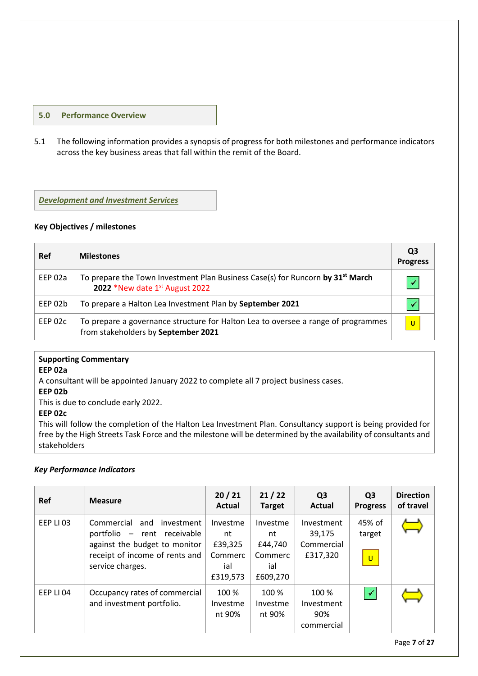### **5.0 Performance Overview**

5.1 The following information provides a synopsis of progress for both milestones and performance indicators across the key business areas that fall within the remit of the Board.

*Development and Investment Services*

#### **Key Objectives / milestones**

| <b>Ref</b> | <b>Milestones</b>                                                                                                            | Q3<br><b>Progress</b> |
|------------|------------------------------------------------------------------------------------------------------------------------------|-----------------------|
| EEP 02a    | To prepare the Town Investment Plan Business Case(s) for Runcorn by 31 <sup>st</sup> March<br>2022 *New date 1st August 2022 |                       |
| EEP 02b    | To prepare a Halton Lea Investment Plan by September 2021                                                                    |                       |
| EEP 02c    | To prepare a governance structure for Halton Lea to oversee a range of programmes<br>from stakeholders by September 2021     | U                     |

## **Supporting Commentary**

#### **EEP 02a**

A consultant will be appointed January 2022 to complete all 7 project business cases.

**EEP 02b** 

This is due to conclude early 2022.

**EEP 02c**

This will follow the completion of the Halton Lea Investment Plan. Consultancy support is being provided for free by the High Streets Task Force and the milestone will be determined by the availability of consultants and stakeholders

# *Key Performance Indicators*

| Ref       | <b>Measure</b>                                                                                                                                     | 20/21<br>Actual                                         | 21/22<br><b>Target</b>                                  | Q <sub>3</sub><br>Actual                       | Q <sub>3</sub><br><b>Progress</b> | <b>Direction</b><br>of travel |
|-----------|----------------------------------------------------------------------------------------------------------------------------------------------------|---------------------------------------------------------|---------------------------------------------------------|------------------------------------------------|-----------------------------------|-------------------------------|
| EEP LI 03 | Commercial<br>and investment<br>portfolio - rent receivable<br>against the budget to monitor<br>receipt of income of rents and<br>service charges. | Investme<br>nt<br>£39,325<br>Commerc<br>ial<br>£319,573 | Investme<br>nt<br>£44,740<br>Commerc<br>ial<br>£609,270 | Investment<br>39,175<br>Commercial<br>£317,320 | 45% of<br>target<br>$\mathbf{u}$  |                               |
| EEP LI 04 | Occupancy rates of commercial<br>and investment portfolio.                                                                                         | 100 %<br>Investme<br>nt 90%                             | 100 %<br>Investme<br>nt 90%                             | 100 %<br>Investment<br>90%<br>commercial       | $\blacktriangledown$              |                               |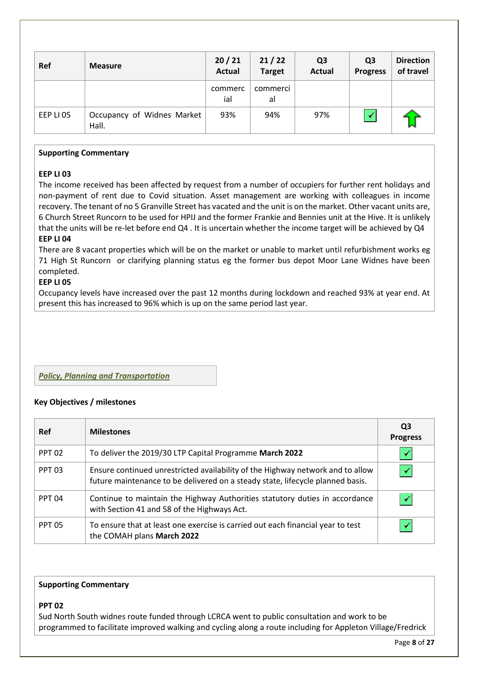| <b>Ref</b> | <b>Measure</b>                      | 20/21<br><b>Actual</b> | 21/22<br><b>Target</b> | Q <sub>3</sub><br><b>Actual</b> | Q <sub>3</sub><br><b>Progress</b> | <b>Direction</b><br>of travel |
|------------|-------------------------------------|------------------------|------------------------|---------------------------------|-----------------------------------|-------------------------------|
|            |                                     | commerc<br>ial         | commerci<br>al         |                                 |                                   |                               |
| EEP LI 05  | Occupancy of Widnes Market<br>Hall. | 93%                    | 94%                    | 97%                             |                                   |                               |

#### **Supporting Commentary**

#### **EEP LI 03**

The income received has been affected by request from a number of occupiers for further rent holidays and non-payment of rent due to Covid situation. Asset management are working with colleagues in income recovery. The tenant of no 5 Granville Street has vacated and the unit is on the market. Other vacant units are, 6 Church Street Runcorn to be used for HPIJ and the former Frankie and Bennies unit at the Hive. It is unlikely that the units will be re-let before end Q4 . It is uncertain whether the income target will be achieved by Q4 **EEP LI 04**

There are 8 vacant properties which will be on the market or unable to market until refurbishment works eg 71 High St Runcorn or clarifying planning status eg the former bus depot Moor Lane Widnes have been completed.

#### **EEP LI 05**

Occupancy levels have increased over the past 12 months during lockdown and reached 93% at year end. At present this has increased to 96% which is up on the same period last year.

# *Policy, Planning and Transportation*

### **Key Objectives / milestones**

| Ref           | <b>Milestones</b>                                                                                                                                                | Q3<br><b>Progress</b> |
|---------------|------------------------------------------------------------------------------------------------------------------------------------------------------------------|-----------------------|
| <b>PPT 02</b> | To deliver the 2019/30 LTP Capital Programme March 2022                                                                                                          |                       |
| <b>PPT 03</b> | Ensure continued unrestricted availability of the Highway network and to allow<br>future maintenance to be delivered on a steady state, lifecycle planned basis. |                       |
| <b>PPT 04</b> | Continue to maintain the Highway Authorities statutory duties in accordance<br>with Section 41 and 58 of the Highways Act.                                       |                       |
| <b>PPT 05</b> | To ensure that at least one exercise is carried out each financial year to test<br>the COMAH plans March 2022                                                    |                       |

## **Supporting Commentary**

#### **PPT 02**

Sud North South widnes route funded through LCRCA went to public consultation and work to be programmed to facilitate improved walking and cycling along a route including for Appleton Village/Fredrick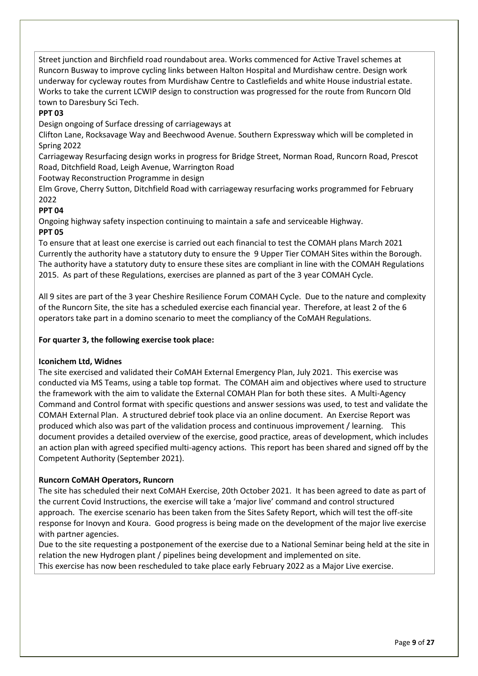Street junction and Birchfield road roundabout area. Works commenced for Active Travel schemes at Runcorn Busway to improve cycling links between Halton Hospital and Murdishaw centre. Design work underway for cycleway routes from Murdishaw Centre to Castlefields and white House industrial estate. Works to take the current LCWIP design to construction was progressed for the route from Runcorn Old town to Daresbury Sci Tech.

# **PPT 03**

Design ongoing of Surface dressing of carriageways at

Clifton Lane, Rocksavage Way and Beechwood Avenue. Southern Expressway which will be completed in Spring 2022

Carriageway Resurfacing design works in progress for Bridge Street, Norman Road, Runcorn Road, Prescot Road, Ditchfield Road, Leigh Avenue, Warrington Road

Footway Reconstruction Programme in design

Elm Grove, Cherry Sutton, Ditchfield Road with carriageway resurfacing works programmed for February 2022

# **PPT 04**

Ongoing highway safety inspection continuing to maintain a safe and serviceable Highway.

# **PPT 05**

To ensure that at least one exercise is carried out each financial to test the COMAH plans March 2021 Currently the authority have a statutory duty to ensure the 9 Upper Tier COMAH Sites within the Borough. The authority have a statutory duty to ensure these sites are compliant in line with the COMAH Regulations 2015. As part of these Regulations, exercises are planned as part of the 3 year COMAH Cycle.

All 9 sites are part of the 3 year Cheshire Resilience Forum COMAH Cycle. Due to the nature and complexity of the Runcorn Site, the site has a scheduled exercise each financial year. Therefore, at least 2 of the 6 operators take part in a domino scenario to meet the compliancy of the CoMAH Regulations.

## **For quarter 3, the following exercise took place:**

# **Iconichem Ltd, Widnes**

The site exercised and validated their CoMAH External Emergency Plan, July 2021. This exercise was conducted via MS Teams, using a table top format. The COMAH aim and objectives where used to structure the framework with the aim to validate the External COMAH Plan for both these sites. A Multi-Agency Command and Control format with specific questions and answer sessions was used, to test and validate the COMAH External Plan. A structured debrief took place via an online document. An Exercise Report was produced which also was part of the validation process and continuous improvement / learning. This document provides a detailed overview of the exercise, good practice, areas of development, which includes an action plan with agreed specified multi-agency actions. This report has been shared and signed off by the Competent Authority (September 2021).

#### **Runcorn CoMAH Operators, Runcorn**

The site has scheduled their next CoMAH Exercise, 20th October 2021. It has been agreed to date as part of the current Covid Instructions, the exercise will take a 'major live' command and control structured approach. The exercise scenario has been taken from the Sites Safety Report, which will test the off-site response for Inovyn and Koura. Good progress is being made on the development of the major live exercise with partner agencies.

Due to the site requesting a postponement of the exercise due to a National Seminar being held at the site in relation the new Hydrogen plant / pipelines being development and implemented on site. This exercise has now been rescheduled to take place early February 2022 as a Major Live exercise.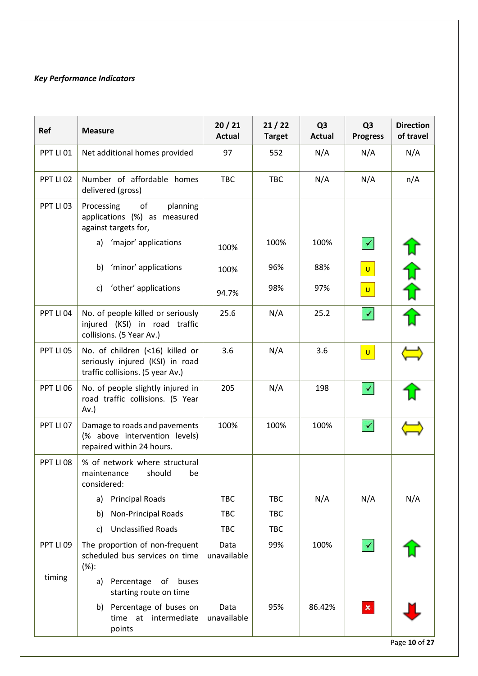# *Key Performance Indicators*

| Ref                  | <b>Measure</b>                                                                                         | 20/21<br><b>Actual</b> | 21/22<br><b>Target</b> | Q <sub>3</sub><br><b>Actual</b> | Q <sub>3</sub><br><b>Progress</b> | <b>Direction</b><br>of travel |
|----------------------|--------------------------------------------------------------------------------------------------------|------------------------|------------------------|---------------------------------|-----------------------------------|-------------------------------|
| PPT LI 01            | Net additional homes provided                                                                          | 97                     | 552                    | N/A                             | N/A                               | N/A                           |
| PPT LI <sub>02</sub> | Number of affordable homes<br>delivered (gross)                                                        | <b>TBC</b>             | <b>TBC</b>             | N/A                             | N/A                               | n/A                           |
| PPT LI <sub>03</sub> | of<br>Processing<br>planning<br>applications (%) as measured<br>against targets for,                   |                        |                        |                                 |                                   |                               |
|                      | 'major' applications<br>a)                                                                             | 100%                   | 100%                   | 100%                            | $\blacktriangledown$              |                               |
|                      | 'minor' applications<br>b)                                                                             | 100%                   | 96%                    | 88%                             | $\vert$ U                         |                               |
|                      | 'other' applications<br>c)                                                                             | 94.7%                  | 98%                    | 97%                             | $\mathbf{U}$                      | 计 介介!                         |
| PPT LI 04            | No. of people killed or seriously<br>injured (KSI) in road traffic<br>collisions. (5 Year Av.)         | 25.6                   | N/A                    | 25.2                            | $\checkmark$                      |                               |
| PPT LI 05            | No. of children (<16) killed or<br>seriously injured (KSI) in road<br>traffic collisions. (5 year Av.) | 3.6                    | N/A                    | 3.6                             | $\mathbf{U}$                      |                               |
| PPT LI 06            | No. of people slightly injured in<br>road traffic collisions. (5 Year<br>$Av.$ )                       | 205                    | N/A                    | 198                             | $\checkmark$                      |                               |
| PPT LI 07            | Damage to roads and pavements<br>(% above intervention levels)<br>repaired within 24 hours.            | 100%                   | 100%                   | 100%                            | ✔                                 |                               |
| PPT LI <sub>08</sub> | % of network where structural<br>should<br>maintenance<br>be<br>considered:                            |                        |                        |                                 |                                   |                               |
|                      | <b>Principal Roads</b><br>a)                                                                           | <b>TBC</b>             | <b>TBC</b>             | N/A                             | N/A                               | N/A                           |
|                      | Non-Principal Roads<br>b)                                                                              | <b>TBC</b>             | <b>TBC</b>             |                                 |                                   |                               |
|                      | <b>Unclassified Roads</b><br>c)                                                                        | <b>TBC</b>             | <b>TBC</b>             |                                 |                                   |                               |
| PPT LI <sub>09</sub> | The proportion of non-frequent<br>scheduled bus services on time<br>(%):                               | Data<br>unavailable    | 99%                    | 100%                            | $\blacktriangledown$              |                               |
| timing               | a) Percentage of buses<br>starting route on time                                                       |                        |                        |                                 |                                   |                               |
|                      | Percentage of buses on<br>b)<br>time at intermediate<br>points                                         | Data<br>unavailable    | 95%                    | 86.42%                          | $\pmb{\times}$                    |                               |
|                      |                                                                                                        |                        |                        |                                 |                                   | Page 10 of 27                 |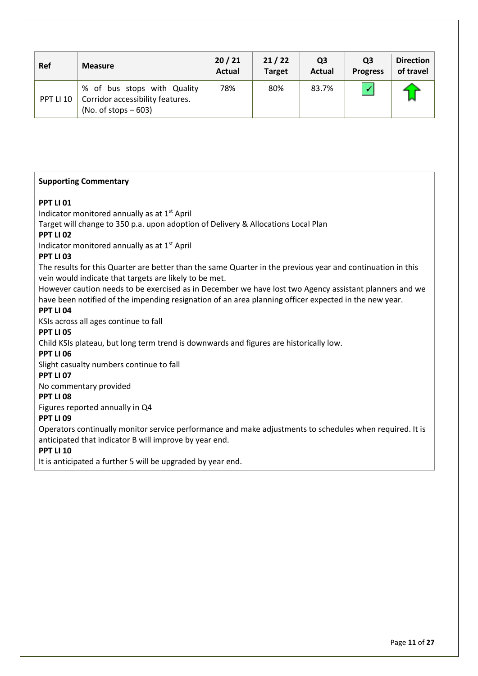| <b>Ref</b>       | <b>Measure</b>                                                                            | 20/21<br><b>Actual</b> | 21/22<br><b>Target</b> | Q <sub>3</sub><br><b>Actual</b> | Q <sub>3</sub><br><b>Progress</b> | <b>Direction</b><br>of travel |
|------------------|-------------------------------------------------------------------------------------------|------------------------|------------------------|---------------------------------|-----------------------------------|-------------------------------|
| <b>PPT LI 10</b> | % of bus stops with Quality<br>Corridor accessibility features.<br>(No. of stops $-603$ ) | 78%                    | 80%                    | 83.7%                           |                                   |                               |

#### **Supporting Commentary**

#### **PPT LI 01**

Indicator monitored annually as at 1<sup>st</sup> April

Target will change to 350 p.a. upon adoption of Delivery & Allocations Local Plan

#### **PPT LI 02**

Indicator monitored annually as at 1st April

#### **PPT LI 03**

The results for this Quarter are better than the same Quarter in the previous year and continuation in this vein would indicate that targets are likely to be met.

However caution needs to be exercised as in December we have lost two Agency assistant planners and we have been notified of the impending resignation of an area planning officer expected in the new year.

# **PPT LI 04**

KSIs across all ages continue to fall

#### **PPT LI 05**

Child KSIs plateau, but long term trend is downwards and figures are historically low.

#### **PPT LI 06**

Slight casualty numbers continue to fall

#### **PPT LI 07**

No commentary provided

#### **PPT LI 08**

Figures reported annually in Q4

#### **PPT LI 09**

Operators continually monitor service performance and make adjustments to schedules when required. It is anticipated that indicator B will improve by year end.

#### **PPT LI 10**

It is anticipated a further 5 will be upgraded by year end.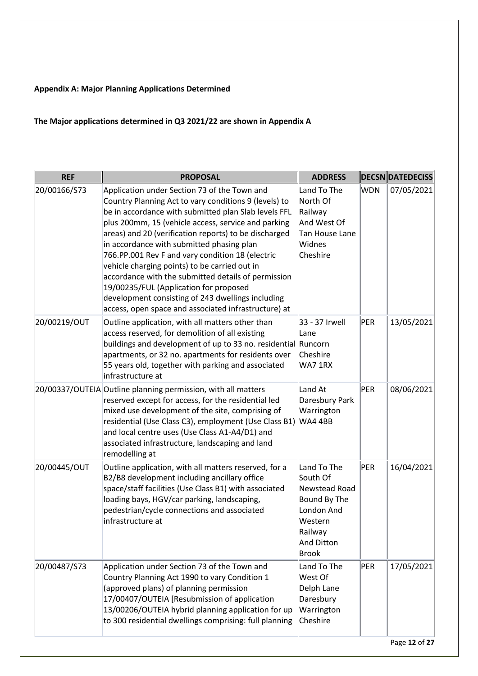# **Appendix A: Major Planning Applications Determined**

# **The Major applications determined in Q3 2021/22 are shown in Appendix A**

| <b>REF</b>   | <b>PROPOSAL</b>                                                                                                                                                                                                                                                                                                                                                                                                                                                                                                                                                                                                                               | <b>ADDRESS</b>                                                                                                                    |     | <b>DECSN DATEDECISS</b> |
|--------------|-----------------------------------------------------------------------------------------------------------------------------------------------------------------------------------------------------------------------------------------------------------------------------------------------------------------------------------------------------------------------------------------------------------------------------------------------------------------------------------------------------------------------------------------------------------------------------------------------------------------------------------------------|-----------------------------------------------------------------------------------------------------------------------------------|-----|-------------------------|
| 20/00166/S73 | Application under Section 73 of the Town and<br>Country Planning Act to vary conditions 9 (levels) to<br>be in accordance with submitted plan Slab levels FFL<br>plus 200mm, 15 (vehicle access, service and parking<br>areas) and 20 (verification reports) to be discharged<br>in accordance with submitted phasing plan<br>766.PP.001 Rev F and vary condition 18 (electric<br>vehicle charging points) to be carried out in<br>accordance with the submitted details of permission<br>19/00235/FUL (Application for proposed<br>development consisting of 243 dwellings including<br>access, open space and associated infrastructure) at | Land To The<br>North Of<br>Railway<br>And West Of<br>Tan House Lane<br>Widnes<br>Cheshire                                         | WDN | 07/05/2021              |
| 20/00219/OUT | Outline application, with all matters other than<br>access reserved, for demolition of all existing<br>buildings and development of up to 33 no. residential Runcorn<br>apartments, or 32 no. apartments for residents over<br>55 years old, together with parking and associated<br>infrastructure at                                                                                                                                                                                                                                                                                                                                        | 33 - 37 Irwell<br>Lane<br>Cheshire<br>WA71RX                                                                                      | PER | 13/05/2021              |
|              | 20/00337/OUTEIA Outline planning permission, with all matters<br>reserved except for access, for the residential led<br>mixed use development of the site, comprising of<br>residential (Use Class C3), employment (Use Class B1)<br>and local centre uses (Use Class A1-A4/D1) and<br>associated infrastructure, landscaping and land<br>remodelling at                                                                                                                                                                                                                                                                                      | Land At<br>Daresbury Park<br>Warrington<br>WA44BB                                                                                 | PER | 08/06/2021              |
| 20/00445/OUT | Outline application, with all matters reserved, for a<br>B2/B8 development including ancillary office<br>space/staff facilities (Use Class B1) with associated<br>loading bays, HGV/car parking, landscaping,<br>pedestrian/cycle connections and associated<br>infrastructure at                                                                                                                                                                                                                                                                                                                                                             | Land To The<br>South Of<br>Newstead Road<br>Bound By The<br>London And<br>Western<br>Railway<br><b>And Ditton</b><br><b>Brook</b> | PER | 16/04/2021              |
| 20/00487/S73 | Application under Section 73 of the Town and<br>Country Planning Act 1990 to vary Condition 1<br>(approved plans) of planning permission<br>17/00407/OUTEIA [Resubmission of application<br>13/00206/OUTEIA hybrid planning application for up<br>to 300 residential dwellings comprising: full planning                                                                                                                                                                                                                                                                                                                                      | Land To The<br>West Of<br>Delph Lane<br>Daresbury<br>Warrington<br>Cheshire                                                       | PER | 17/05/2021              |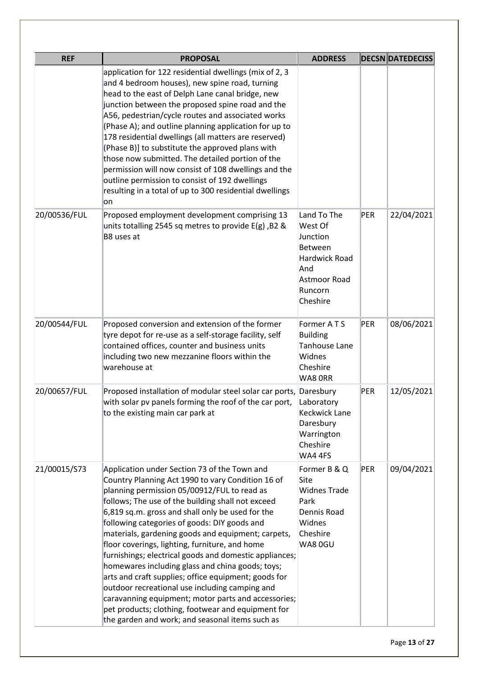| <b>REF</b>   | <b>PROPOSAL</b>                                                                                                                                                                                                                                                                                                                                                                                                                                                                                                                                                                                                                                                                                                                                                                                           | <b>ADDRESS</b>                                                                                                             |            | <b>DECSN DATEDECISS</b> |
|--------------|-----------------------------------------------------------------------------------------------------------------------------------------------------------------------------------------------------------------------------------------------------------------------------------------------------------------------------------------------------------------------------------------------------------------------------------------------------------------------------------------------------------------------------------------------------------------------------------------------------------------------------------------------------------------------------------------------------------------------------------------------------------------------------------------------------------|----------------------------------------------------------------------------------------------------------------------------|------------|-------------------------|
|              | application for 122 residential dwellings (mix of 2, 3<br>and 4 bedroom houses), new spine road, turning<br>head to the east of Delph Lane canal bridge, new<br>junction between the proposed spine road and the<br>A56, pedestrian/cycle routes and associated works<br>(Phase A); and outline planning application for up to<br>178 residential dwellings (all matters are reserved)<br>(Phase B)] to substitute the approved plans with<br>those now submitted. The detailed portion of the<br>permission will now consist of 108 dwellings and the<br>outline permission to consist of 192 dwellings<br>resulting in a total of up to 300 residential dwellings<br>lon                                                                                                                                |                                                                                                                            |            |                         |
| 20/00536/FUL | Proposed employment development comprising 13<br>units totalling 2545 sq metres to provide $E(g)$ , B2 &<br>B8 uses at                                                                                                                                                                                                                                                                                                                                                                                                                                                                                                                                                                                                                                                                                    | Land To The<br>West Of<br>Junction<br><b>Between</b><br><b>Hardwick Road</b><br>And<br>Astmoor Road<br>Runcorn<br>Cheshire | <b>PER</b> | 22/04/2021              |
| 20/00544/FUL | Proposed conversion and extension of the former<br>tyre depot for re-use as a self-storage facility, self<br>contained offices, counter and business units<br>including two new mezzanine floors within the<br>warehouse at                                                                                                                                                                                                                                                                                                                                                                                                                                                                                                                                                                               | Former ATS<br><b>Building</b><br>Tanhouse Lane<br>Widnes<br>Cheshire<br>WA8 ORR                                            | PER        | 08/06/2021              |
| 20/00657/FUL | Proposed installation of modular steel solar car ports, Daresbury<br>with solar pv panels forming the roof of the car port,<br>to the existing main car park at                                                                                                                                                                                                                                                                                                                                                                                                                                                                                                                                                                                                                                           | Laboratory<br><b>Keckwick Lane</b><br>Daresbury<br>Warrington<br>Cheshire<br>WA4 4FS                                       | PER        | 12/05/2021              |
| 21/00015/S73 | Application under Section 73 of the Town and<br>Country Planning Act 1990 to vary Condition 16 of<br>planning permission 05/00912/FUL to read as<br>follows; The use of the building shall not exceed<br>6,819 sq.m. gross and shall only be used for the<br>following categories of goods: DIY goods and<br>materials, gardening goods and equipment; carpets,<br>floor coverings, lighting, furniture, and home<br>furnishings; electrical goods and domestic appliances;<br>homewares including glass and china goods; toys;<br>arts and craft supplies; office equipment; goods for<br>outdoor recreational use including camping and<br>caravanning equipment; motor parts and accessories;<br>pet products; clothing, footwear and equipment for<br>the garden and work; and seasonal items such as | Former B & Q<br>Site<br><b>Widnes Trade</b><br>Park<br>Dennis Road<br>Widnes<br>Cheshire<br>WA80GU                         | PER        | 09/04/2021              |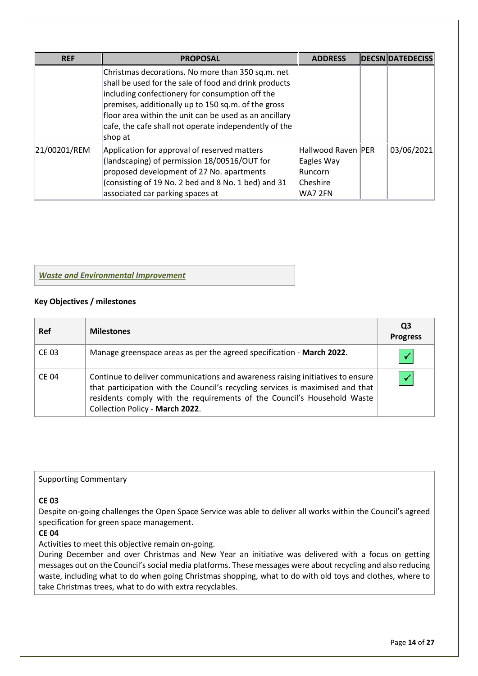| <b>REF</b>   | <b>PROPOSAL</b>                                                                                                                                                                                                                                                                                                                                    | <b>ADDRESS</b>                                                     | <b>DECSN DATEDECISS</b> |
|--------------|----------------------------------------------------------------------------------------------------------------------------------------------------------------------------------------------------------------------------------------------------------------------------------------------------------------------------------------------------|--------------------------------------------------------------------|-------------------------|
|              | Christmas decorations. No more than 350 sq.m. net<br>shall be used for the sale of food and drink products<br>including confectionery for consumption off the<br>premises, additionally up to 150 sq.m. of the gross<br>floor area within the unit can be used as an ancillary<br>cafe, the cafe shall not operate independently of the<br>shop at |                                                                    |                         |
| 21/00201/REM | Application for approval of reserved matters<br>(landscaping) of permission 18/00516/OUT for<br>proposed development of 27 No. apartments<br>(consisting of 19 No. 2 bed and 8 No. 1 bed) and 31<br>associated car parking spaces at                                                                                                               | Hallwood Raven PER<br>Eagles Way<br>Runcorn<br>Cheshire<br>WA7 2FN | 03/06/2021              |

## *Waste and Environmental Improvement*

#### **Key Objectives / milestones**

| Ref          | <b>Milestones</b>                                                                                                                                                                                                                                                              | Q3<br><b>Progress</b> |
|--------------|--------------------------------------------------------------------------------------------------------------------------------------------------------------------------------------------------------------------------------------------------------------------------------|-----------------------|
| <b>CE 03</b> | Manage greenspace areas as per the agreed specification - March 2022.                                                                                                                                                                                                          |                       |
| <b>CE 04</b> | Continue to deliver communications and awareness raising initiatives to ensure<br>that participation with the Council's recycling services is maximised and that<br>residents comply with the requirements of the Council's Household Waste<br>Collection Policy - March 2022. |                       |

## Supporting Commentary

#### **CE 03**

Despite on-going challenges the Open Space Service was able to deliver all works within the Council's agreed specification for green space management.

# **CE 04**

Activities to meet this objective remain on-going.

During December and over Christmas and New Year an initiative was delivered with a focus on getting messages out on the Council's social media platforms. These messages were about recycling and also reducing waste, including what to do when going Christmas shopping, what to do with old toys and clothes, where to take Christmas trees, what to do with extra recyclables.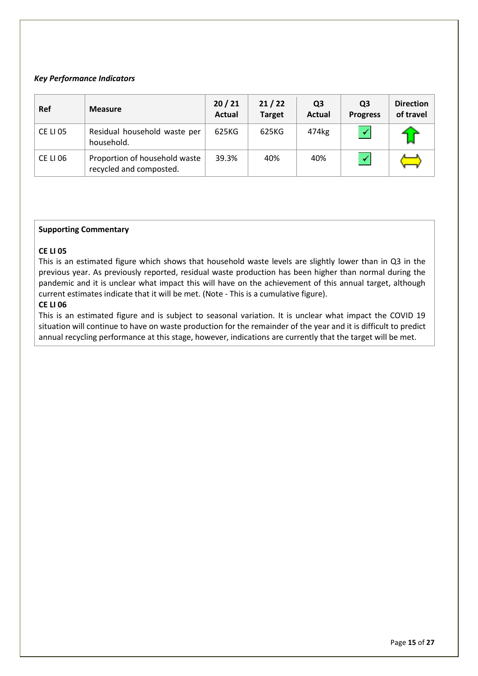### *Key Performance Indicators*

| <b>Ref</b>      | <b>Measure</b>                                           | 20/21<br><b>Actual</b> | 21/22<br><b>Target</b> | Q3<br>Actual | Q <sub>3</sub><br><b>Progress</b> | <b>Direction</b><br>of travel |
|-----------------|----------------------------------------------------------|------------------------|------------------------|--------------|-----------------------------------|-------------------------------|
| <b>CE LI 05</b> | Residual household waste per<br>household.               | 625KG                  | 625KG                  | 474kg        |                                   |                               |
| <b>CE LI 06</b> | Proportion of household waste<br>recycled and composted. | 39.3%                  | 40%                    | 40%          |                                   |                               |

#### **Supporting Commentary**

#### **CE LI 05**

This is an estimated figure which shows that household waste levels are slightly lower than in Q3 in the previous year. As previously reported, residual waste production has been higher than normal during the pandemic and it is unclear what impact this will have on the achievement of this annual target, although current estimates indicate that it will be met. (Note - This is a cumulative figure).

## **CE LI 06**

This is an estimated figure and is subject to seasonal variation. It is unclear what impact the COVID 19 situation will continue to have on waste production for the remainder of the year and it is difficult to predict annual recycling performance at this stage, however, indications are currently that the target will be met.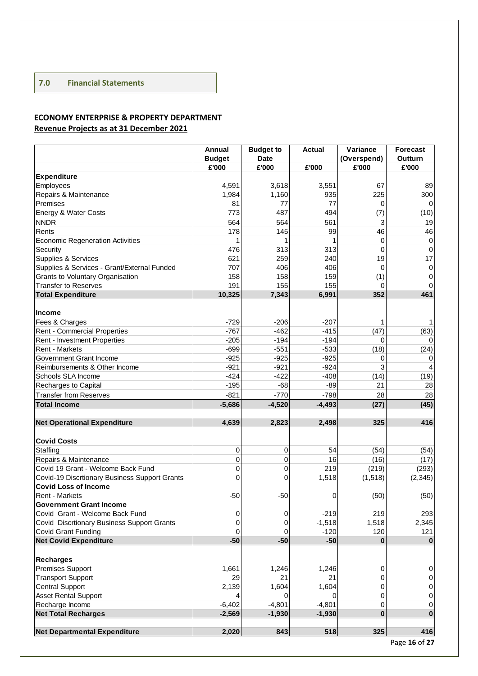# **7.0 Financial Statements**

# **ECONOMY ENTERPRISE & PROPERTY DEPARTMENT Revenue Projects as at 31 December 2021**

|                                               | <b>Annual</b> | <b>Budget to</b> | <b>Actual</b> | Variance    | <b>Forecast</b> |
|-----------------------------------------------|---------------|------------------|---------------|-------------|-----------------|
|                                               | <b>Budget</b> | <b>Date</b>      |               | (Overspend) | Outturn         |
|                                               | £'000         | £'000            | £'000         | £'000       | £'000           |
| <b>Expenditure</b>                            |               |                  |               |             |                 |
| Employees                                     | 4,591         | 3,618            | 3,551         | 67          | 89              |
| Repairs & Maintenance                         | 1,984         | 1,160            | 935           | 225         | 300             |
| Premises                                      | 81            | 77               | 77            | $\Omega$    | $\Omega$        |
| Energy & Water Costs                          | 773           | 487              | 494           | (7)         | (10)            |
| <b>NNDR</b>                                   | 564           | 564              | 561           | 3           | 19              |
| Rents                                         | 178           | 145              | 99            | 46          | 46              |
| <b>Economic Regeneration Activities</b>       |               |                  |               | $\mathbf 0$ | $\mathbf 0$     |
| Security                                      | 476           | 313              | 313           | 0           | 0               |
| Supplies & Services                           | 621           | 259              | 240           | 19          | 17              |
| Supplies & Services - Grant/External Funded   | 707           | 406              | 406           | $\Omega$    | $\mathbf 0$     |
| Grants to Voluntary Organisation              | 158           | 158              | 159           | (1)         | 0               |
| <b>Transfer to Reserves</b>                   | 191           | 155              | 155           | 0           | 0               |
| <b>Total Expenditure</b>                      | 10,325        | 7,343            | 6,991         | 352         | 461             |
|                                               |               |                  |               |             |                 |
| <b>Income</b>                                 |               |                  |               |             |                 |
| Fees & Charges                                | $-729$        | $-206$           | $-207$        | 1           | 1               |
| Rent - Commercial Properties                  | $-767$        | $-462$           | $-415$        | (47)        | (63)            |
| Rent - Investment Properties                  | $-205$        | $-194$           | $-194$        | 0           | $\Omega$        |
| Rent - Markets                                | $-699$        | $-551$           | $-533$        | (18)        | (24)            |
| Government Grant Income                       | $-925$        | $-925$           | $-925$        | 0           |                 |
| Reimbursements & Other Income                 | $-921$        | $-921$           | $-924$        | 3           | 4               |
| Schools SLA Income                            | $-424$        | $-422$           | $-408$        | (14)        | (19)            |
| Recharges to Capital                          | $-195$        | $-68$            | $-89$         | 21          | 28              |
| <b>Transfer from Reserves</b>                 | $-821$        | $-770$           | $-798$        | 28          | 28              |
| <b>Total Income</b>                           | $-5,686$      | $-4,520$         | $-4,493$      | (27)        | (45)            |
|                                               |               |                  |               |             |                 |
| <b>Net Operational Expenditure</b>            | 4,639         | 2,823            | 2,498         | 325         | 416             |
|                                               |               |                  |               |             |                 |
| <b>Covid Costs</b>                            |               |                  |               |             |                 |
| Staffing                                      | 0             | 0                | 54            | (54)        | (54)            |
| Repairs & Maintenance                         | 0             | 0                | 16            | (16)        | (17)            |
| Covid 19 Grant - Welcome Back Fund            | $\mathbf 0$   | $\Omega$         | 219           | (219)       | (293)           |
| Covid-19 Discrtionary Business Support Grants | $\mathbf 0$   | $\Omega$         | 1,518         | (1, 518)    | (2, 345)        |
| <b>Covid Loss of Income</b>                   |               |                  |               |             |                 |
| Rent - Markets                                | $-50$         | $-50$            | 0             | (50)        | (50)            |
| <b>Government Grant Income</b>                |               |                  |               |             |                 |
| Covid Grant - Welcome Back Fund               | $\pmb{0}$     | 0                | $-219$        | 219         | 293             |
| Covid Discrtionary Business Support Grants    | $\mathbf 0$   | 0                | $-1,518$      | 1,518       | 2,345           |
| Covid Grant Funding                           | 0             | 0                | $-120$        | 120         | 121             |
| <b>Net Covid Expenditure</b>                  | $-50$         | $-50$            | $-50$         | 0           |                 |
|                                               |               |                  |               |             |                 |
| <b>Recharges</b>                              |               |                  |               |             |                 |
| Premises Support                              | 1,661         | 1,246            | 1,246         | 0           | 0               |
| <b>Transport Support</b>                      | 29            | 21               | 21            | $\mathbf 0$ | $\pmb{0}$       |
| <b>Central Support</b>                        | 2,139         | 1,604            | 1,604         | 0           | $\pmb{0}$       |
| <b>Asset Rental Support</b>                   |               | $\Omega$         | $\Omega$      | 0           | 0               |
| Recharge Income                               | $-6,402$      | $-4,801$         | $-4,801$      | 0           | 0               |
| <b>Net Total Recharges</b>                    | $-2,569$      | $-1,930$         | $-1,930$      | $\bf{0}$    | $\bf{0}$        |
|                                               |               |                  |               |             |                 |
| <b>Net Departmental Expenditure</b>           | 2,020         | 843              | 518           | 325         | 416             |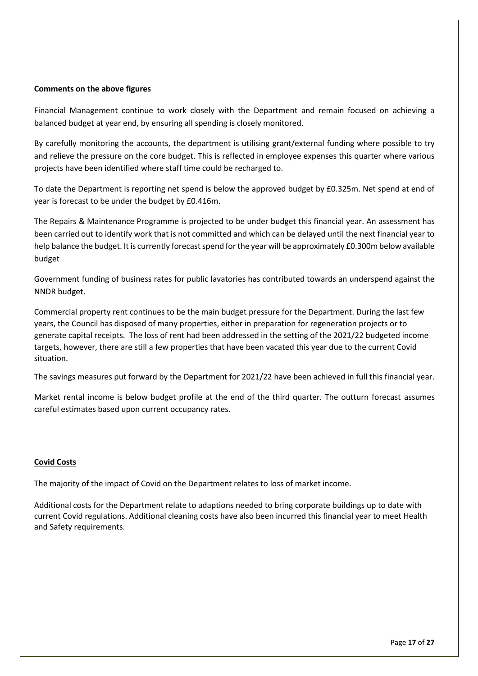#### **Comments on the above figures**

Financial Management continue to work closely with the Department and remain focused on achieving a balanced budget at year end, by ensuring all spending is closely monitored.

By carefully monitoring the accounts, the department is utilising grant/external funding where possible to try and relieve the pressure on the core budget. This is reflected in employee expenses this quarter where various projects have been identified where staff time could be recharged to.

To date the Department is reporting net spend is below the approved budget by £0.325m. Net spend at end of year is forecast to be under the budget by £0.416m.

The Repairs & Maintenance Programme is projected to be under budget this financial year. An assessment has been carried out to identify work that is not committed and which can be delayed until the next financial year to help balance the budget. It is currently forecast spend for the year will be approximately £0.300m below available budget

Government funding of business rates for public lavatories has contributed towards an underspend against the NNDR budget.

Commercial property rent continues to be the main budget pressure for the Department. During the last few years, the Council has disposed of many properties, either in preparation for regeneration projects or to generate capital receipts. The loss of rent had been addressed in the setting of the 2021/22 budgeted income targets, however, there are still a few properties that have been vacated this year due to the current Covid situation.

The savings measures put forward by the Department for 2021/22 have been achieved in full this financial year.

Market rental income is below budget profile at the end of the third quarter. The outturn forecast assumes careful estimates based upon current occupancy rates.

#### **Covid Costs**

The majority of the impact of Covid on the Department relates to loss of market income.

Additional costs for the Department relate to adaptions needed to bring corporate buildings up to date with current Covid regulations. Additional cleaning costs have also been incurred this financial year to meet Health and Safety requirements.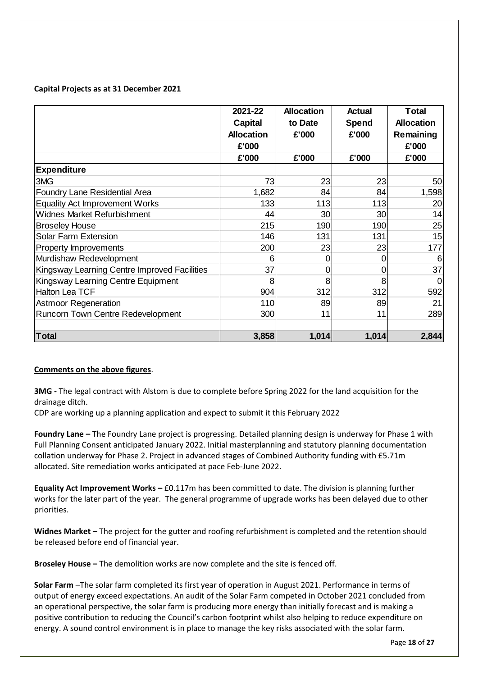# **Capital Projects as at 31 December 2021**

|                                              | 2021-22<br>Capital<br><b>Allocation</b><br>£'000 | <b>Allocation</b><br>to Date<br>£'000 | <b>Actual</b><br>Spend<br>£'000 | <b>Total</b><br><b>Allocation</b><br>Remaining<br>£'000 |
|----------------------------------------------|--------------------------------------------------|---------------------------------------|---------------------------------|---------------------------------------------------------|
|                                              | £'000                                            | £'000                                 | £'000                           | £'000                                                   |
| <b>Expenditure</b>                           |                                                  |                                       |                                 |                                                         |
| 3MG                                          | 73                                               | 23                                    | 23                              | 50                                                      |
| <b>Foundry Lane Residential Area</b>         | 1,682                                            | 84                                    | 84                              | 1,598                                                   |
| <b>Equality Act Improvement Works</b>        | 133                                              | 113                                   | 113                             | 20                                                      |
| <b>Widnes Market Refurbishment</b>           | 44                                               | 30                                    | 30 <sup>°</sup>                 | 14                                                      |
| <b>Broseley House</b>                        | 215                                              | 190                                   | 190                             | 25                                                      |
| <b>Solar Farm Extension</b>                  | 146                                              | 131                                   | 131                             | 15                                                      |
| Property Improvements                        | 200                                              | 23                                    | 23                              | 177                                                     |
| Murdishaw Redevelopment                      | 6                                                | O                                     | $\Omega$                        | 6                                                       |
| Kingsway Learning Centre Improved Facilities | 37                                               | 0                                     | 0                               | 37                                                      |
| Kingsway Learning Centre Equipment           | 8                                                | 8                                     |                                 | ∩                                                       |
| Halton Lea TCF                               | 904                                              | 312                                   | 312                             | 592                                                     |
| <b>Astmoor Regeneration</b>                  | 110                                              | 89                                    | 89                              | 21                                                      |
| Runcorn Town Centre Redevelopment            | 300                                              | 11                                    | 11                              | 289                                                     |
|                                              |                                                  |                                       |                                 |                                                         |
| Total                                        | 3,858                                            | 1,014                                 | 1,014                           | 2,844                                                   |

#### **Comments on the above figures**.

**3MG -** The legal contract with Alstom is due to complete before Spring 2022 for the land acquisition for the drainage ditch.

CDP are working up a planning application and expect to submit it this February 2022

**Foundry Lane –** The Foundry Lane project is progressing. Detailed planning design is underway for Phase 1 with Full Planning Consent anticipated January 2022. Initial masterplanning and statutory planning documentation collation underway for Phase 2. Project in advanced stages of Combined Authority funding with £5.71m allocated. Site remediation works anticipated at pace Feb-June 2022.

**Equality Act Improvement Works –** £0.117m has been committed to date. The division is planning further works for the later part of the year. The general programme of upgrade works has been delayed due to other priorities.

**Widnes Market –** The project for the gutter and roofing refurbishment is completed and the retention should be released before end of financial year.

**Broseley House –** The demolition works are now complete and the site is fenced off.

**Solar Farm** –The solar farm completed its first year of operation in August 2021. Performance in terms of output of energy exceed expectations. An audit of the Solar Farm competed in October 2021 concluded from an operational perspective, the solar farm is producing more energy than initially forecast and is making a positive contribution to reducing the Council's carbon footprint whilst also helping to reduce expenditure on energy. A sound control environment is in place to manage the key risks associated with the solar farm.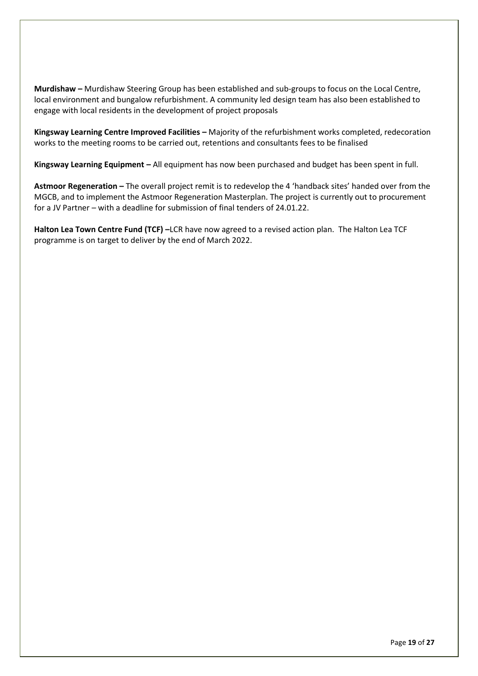**Murdishaw –** Murdishaw Steering Group has been established and sub-groups to focus on the Local Centre, local environment and bungalow refurbishment. A community led design team has also been established to engage with local residents in the development of project proposals

**Kingsway Learning Centre Improved Facilities –** Majority of the refurbishment works completed, redecoration works to the meeting rooms to be carried out, retentions and consultants fees to be finalised

**Kingsway Learning Equipment –** All equipment has now been purchased and budget has been spent in full.

**Astmoor Regeneration –** The overall project remit is to redevelop the 4 'handback sites' handed over from the MGCB, and to implement the Astmoor Regeneration Masterplan. The project is currently out to procurement for a JV Partner – with a deadline for submission of final tenders of 24.01.22.

**Halton Lea Town Centre Fund (TCF) –**LCR have now agreed to a revised action plan. The Halton Lea TCF programme is on target to deliver by the end of March 2022.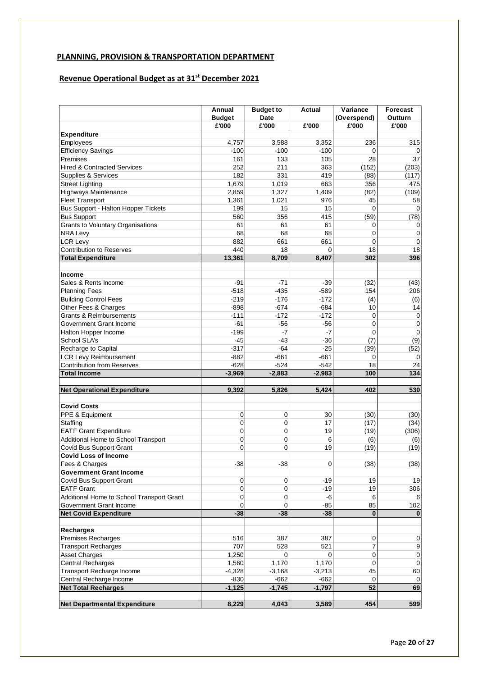# **PLANNING, PROVISION & TRANSPORTATION DEPARTMENT**

# **Revenue Operational Budget as at 31st December 2021**

|                                            | Annual<br><b>Budget</b> | <b>Budget to</b><br><b>Date</b> | Actual   | Variance<br>(Overspend) | <b>Forecast</b><br>Outturn |
|--------------------------------------------|-------------------------|---------------------------------|----------|-------------------------|----------------------------|
| <b>Expenditure</b>                         | £'000                   | £'000                           | £'000    | £'000                   | £'000                      |
| Employees                                  | 4,757                   | 3,588                           | 3,352    | 236                     | 315                        |
| <b>Efficiency Savings</b>                  | $-100$                  | $-100$                          | $-100$   | $\Omega$                | 0                          |
| Premises                                   | 161                     | 133                             | 105      | 28                      | 37                         |
| <b>Hired &amp; Contracted Services</b>     | 252                     | 211                             | 363      | (152)                   |                            |
|                                            |                         |                                 |          |                         | (203)                      |
| Supplies & Services                        | 182                     | 331                             | 419      | (88)                    | (117)                      |
| <b>Street Lighting</b>                     | 1,679                   | 1,019                           | 663      | 356                     | 475                        |
| Highways Maintenance                       | 2,859                   | 1,327                           | 1,409    | (82)                    | (109)                      |
| <b>Fleet Transport</b>                     | 1,361                   | 1,021                           | 976      | 45                      | 58                         |
| <b>Bus Support - Halton Hopper Tickets</b> | 199                     | 15                              | 15       | $\mathbf 0$             | 0                          |
| <b>Bus Support</b>                         | 560                     | 356                             | 415      | (59)                    | (78)                       |
| Grants to Voluntary Organisations          | 61                      | 61                              | 61       | 0                       | 0                          |
| <b>NRA Levy</b>                            | 68                      | 68                              | 68       | $\mathbf 0$             | $\mathbf 0$                |
| <b>LCR Levy</b>                            | 882                     | 661                             | 661      | $\Omega$                | $\mathbf 0$                |
| <b>Contribution to Reserves</b>            | 440                     | 18                              | $\Omega$ | 18                      | 18                         |
| <b>Total Expenditure</b>                   | 13,361                  | 8,709                           | 8,407    | 302                     | 396                        |
|                                            |                         |                                 |          |                         |                            |
| Income                                     |                         |                                 |          |                         |                            |
| Sales & Rents Income                       | $-91$                   | $-71$                           | $-39$    | (32)                    | (43)                       |
| <b>Planning Fees</b>                       | $-518$                  | $-435$                          | $-589$   | 154                     | 206                        |
| <b>Building Control Fees</b>               | $-219$                  | $-176$                          | $-172$   | (4)                     | (6)                        |
| Other Fees & Charges                       | $-898$                  | $-674$                          | $-684$   | 10                      | 14                         |
| <b>Grants &amp; Reimbursements</b>         | $-111$                  | $-172$                          | $-172$   | 0                       | 0                          |
| Government Grant Income                    | $-61$                   | $-56$                           | $-56$    | $\mathbf 0$             | $\mathbf 0$                |
| Halton Hopper Income                       | $-199$                  | $-7$                            | $-7$     | $\Omega$                | $\pmb{0}$                  |
| School SLA's                               | $-45$                   | $-43$                           | $-36$    | (7)                     | (9)                        |
| Recharge to Capital                        | $-317$                  | $-64$                           | $-25$    | (39)                    | (52)                       |
| <b>LCR Levy Reimbursement</b>              | $-882$                  | $-661$                          | $-661$   | $\Omega$                | $\Omega$                   |
| <b>Contribution from Reserves</b>          | $-628$                  | $-524$                          | $-542$   | 18                      | 24                         |
| <b>Total Income</b>                        | $-3,969$                | $-2,883$                        | $-2,983$ | 100                     | 134                        |
|                                            |                         |                                 |          |                         |                            |
| <b>Net Operational Expenditure</b>         | 9,392                   | 5,826                           | 5,424    | 402                     | 530                        |
| <b>Covid Costs</b>                         |                         |                                 |          |                         |                            |
| PPE & Equipment                            | $\mathbf 0$             | $\mathbf 0$                     | 30       | (30)                    | (30)                       |
| Staffing                                   | 0                       | $\mathbf 0$                     | 17       | (17)                    | (34)                       |
| <b>EATF Grant Expenditure</b>              | $\mathbf 0$             | $\mathbf 0$                     | 19       | (19)                    | (306)                      |
| Additional Home to School Transport        | 0                       | $\mathbf 0$                     | 6        | (6)                     | (6)                        |
| Covid Bus Support Grant                    | $\mathbf 0$             | $\mathbf 0$                     | 19       | (19)                    | (19)                       |
| <b>Covid Loss of Income</b>                |                         |                                 |          |                         |                            |
| Fees & Charges                             | -38                     | -38                             | $\cup$   | (38)                    | (38)                       |
| <b>Government Grant Income</b>             |                         |                                 |          |                         |                            |
| Covid Bus Support Grant                    | 0                       | 0                               | -19      | 19                      | 19                         |
| <b>EATF Grant</b>                          | 0                       | 0                               | $-19$    | 19                      | 306                        |
| Additional Home to School Transport Grant  | 0                       | $\mathbf 0$                     | -6       |                         |                            |
|                                            |                         |                                 |          | 6                       | 6                          |
| Government Grant Income                    | $\Omega$                | $\Omega$                        | $-85$    | 85                      | 102                        |
| <b>Net Covid Expenditure</b>               | $-38$                   | $-38$                           | $-38$    | $\bf{0}$                |                            |
| <b>Recharges</b>                           |                         |                                 |          |                         |                            |
| <b>Premises Recharges</b>                  | 516                     | 387                             | 387      | 0                       | $\mathbf 0$                |
| <b>Transport Recharges</b>                 | 707                     | 528                             | 521      | 7                       | $9\,$                      |
|                                            |                         |                                 |          |                         | $\pmb{0}$                  |
| <b>Asset Charges</b>                       | 1,250                   | 0                               | $\Omega$ | $\mathbf 0$             |                            |
| <b>Central Recharges</b>                   | 1,560                   | 1,170                           | 1,170    | $\mathbf 0$             | $\mathbf 0$                |
| Transport Recharge Income                  | $-4,328$                | $-3,168$                        | $-3,213$ | 45                      | 60                         |
| Central Recharge Income                    | $-830$                  | $-662$                          | $-662$   | 0                       | 0                          |
| <b>Net Total Recharges</b>                 | $-1,125$                | $-1,745$                        | $-1,797$ | 52                      | 69                         |
| <b>Net Departmental Expenditure</b>        | 8,229                   | 4,043                           | 3,589    | 454                     | 599                        |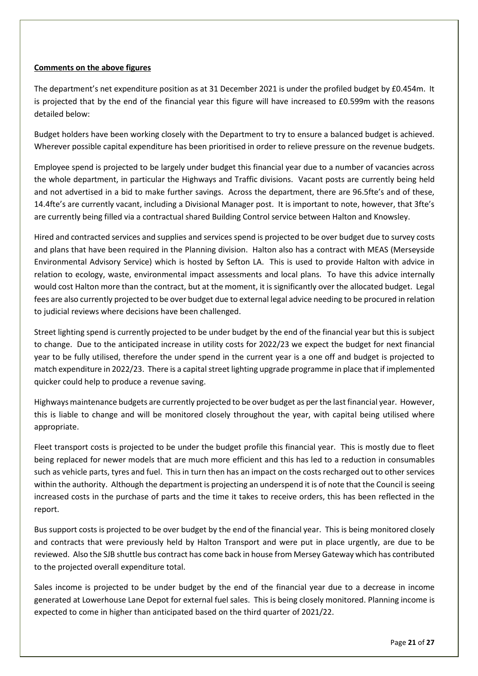### **Comments on the above figures**

The department's net expenditure position as at 31 December 2021 is under the profiled budget by £0.454m. It is projected that by the end of the financial year this figure will have increased to £0.599m with the reasons detailed below:

Budget holders have been working closely with the Department to try to ensure a balanced budget is achieved. Wherever possible capital expenditure has been prioritised in order to relieve pressure on the revenue budgets.

Employee spend is projected to be largely under budget this financial year due to a number of vacancies across the whole department, in particular the Highways and Traffic divisions. Vacant posts are currently being held and not advertised in a bid to make further savings. Across the department, there are 96.5fte's and of these, 14.4fte's are currently vacant, including a Divisional Manager post. It is important to note, however, that 3fte's are currently being filled via a contractual shared Building Control service between Halton and Knowsley.

Hired and contracted services and supplies and services spend is projected to be over budget due to survey costs and plans that have been required in the Planning division. Halton also has a contract with MEAS (Merseyside Environmental Advisory Service) which is hosted by Sefton LA. This is used to provide Halton with advice in relation to ecology, waste, environmental impact assessments and local plans. To have this advice internally would cost Halton more than the contract, but at the moment, it is significantly over the allocated budget. Legal fees are also currently projected to be over budget due to external legal advice needing to be procured in relation to judicial reviews where decisions have been challenged.

Street lighting spend is currently projected to be under budget by the end of the financial year but this is subject to change. Due to the anticipated increase in utility costs for 2022/23 we expect the budget for next financial year to be fully utilised, therefore the under spend in the current year is a one off and budget is projected to match expenditure in 2022/23. There is a capital street lighting upgrade programme in place that if implemented quicker could help to produce a revenue saving.

Highways maintenance budgets are currently projected to be over budget as per the last financial year. However, this is liable to change and will be monitored closely throughout the year, with capital being utilised where appropriate.

Fleet transport costs is projected to be under the budget profile this financial year. This is mostly due to fleet being replaced for newer models that are much more efficient and this has led to a reduction in consumables such as vehicle parts, tyres and fuel. This in turn then has an impact on the costs recharged out to other services within the authority. Although the department is projecting an underspend it is of note that the Council is seeing increased costs in the purchase of parts and the time it takes to receive orders, this has been reflected in the report.

Bus support costs is projected to be over budget by the end of the financial year. This is being monitored closely and contracts that were previously held by Halton Transport and were put in place urgently, are due to be reviewed. Also the SJB shuttle bus contract has come back in house from Mersey Gateway which has contributed to the projected overall expenditure total.

Sales income is projected to be under budget by the end of the financial year due to a decrease in income generated at Lowerhouse Lane Depot for external fuel sales. This is being closely monitored. Planning income is expected to come in higher than anticipated based on the third quarter of 2021/22.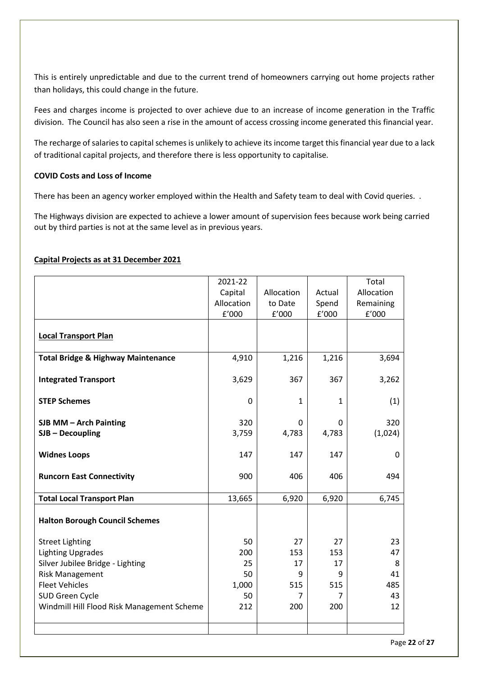This is entirely unpredictable and due to the current trend of homeowners carrying out home projects rather than holidays, this could change in the future.

Fees and charges income is projected to over achieve due to an increase of income generation in the Traffic division. The Council has also seen a rise in the amount of access crossing income generated this financial year.

The recharge of salaries to capital schemes is unlikely to achieve its income target this financial year due to a lack of traditional capital projects, and therefore there is less opportunity to capitalise.

#### **COVID Costs and Loss of Income**

There has been an agency worker employed within the Health and Safety team to deal with Covid queries. .

The Highways division are expected to achieve a lower amount of supervision fees because work being carried out by third parties is not at the same level as in previous years.

|  |  | Capital Projects as at 31 December 2021 |  |
|--|--|-----------------------------------------|--|
|  |  |                                         |  |

|                                               | 2021-22    |            |        | Total                 |
|-----------------------------------------------|------------|------------|--------|-----------------------|
|                                               | Capital    | Allocation | Actual | Allocation            |
|                                               | Allocation | to Date    | Spend  | Remaining             |
|                                               | f'000      | f'000      | f'000  | ${\tt f}^{\prime}000$ |
|                                               |            |            |        |                       |
| <b>Local Transport Plan</b>                   |            |            |        |                       |
| <b>Total Bridge &amp; Highway Maintenance</b> | 4,910      | 1,216      | 1,216  | 3,694                 |
| <b>Integrated Transport</b>                   | 3,629      | 367        | 367    | 3,262                 |
| <b>STEP Schemes</b>                           | 0          | 1          | 1      | (1)                   |
| SJB MM - Arch Painting                        | 320        | 0          | 0      | 320                   |
| $SJB - Decoupling$                            | 3,759      | 4,783      | 4,783  | (1,024)               |
|                                               |            |            |        |                       |
| <b>Widnes Loops</b>                           | 147        | 147        | 147    | 0                     |
| <b>Runcorn East Connectivity</b>              | 900        | 406        | 406    | 494                   |
| <b>Total Local Transport Plan</b>             | 13,665     | 6,920      | 6,920  | 6,745                 |
| <b>Halton Borough Council Schemes</b>         |            |            |        |                       |
| <b>Street Lighting</b>                        | 50         | 27         | 27     | 23                    |
| <b>Lighting Upgrades</b>                      | 200        | 153        | 153    | 47                    |
| Silver Jubilee Bridge - Lighting              | 25         | 17         | 17     | 8                     |
| <b>Risk Management</b>                        | 50         | 9          | 9      | 41                    |
| <b>Fleet Vehicles</b>                         | 1,000      | 515        | 515    | 485                   |
| SUD Green Cycle                               | 50         | 7          | 7      | 43                    |
| Windmill Hill Flood Risk Management Scheme    | 212        | 200        | 200    | 12                    |
|                                               |            |            |        |                       |
|                                               |            |            |        |                       |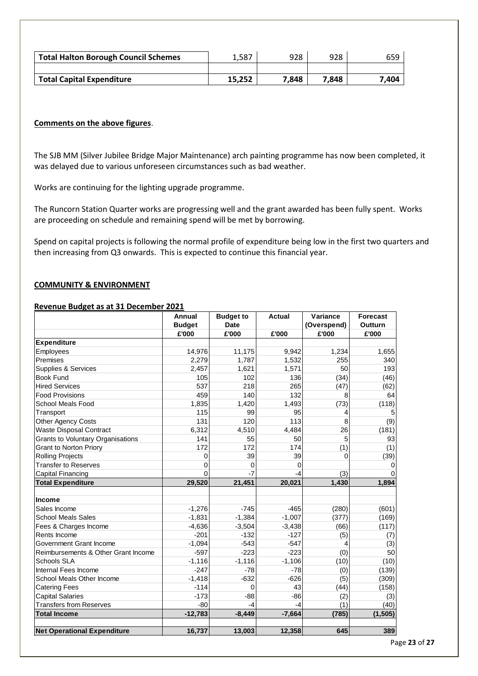| <b>Total Halton Borough Council Schemes</b> | 1.587  | 928   | 928   | 659   |
|---------------------------------------------|--------|-------|-------|-------|
|                                             |        |       |       |       |
| <b>Total Capital Expenditure</b>            | 15.252 | 7.848 | 7.848 | 7.404 |

#### **Comments on the above figures**.

The SJB MM (Silver Jubilee Bridge Major Maintenance) arch painting programme has now been completed, it was delayed due to various unforeseen circumstances such as bad weather.

Works are continuing for the lighting upgrade programme.

The Runcorn Station Quarter works are progressing well and the grant awarded has been fully spent. Works are proceeding on schedule and remaining spend will be met by borrowing.

Spend on capital projects is following the normal profile of expenditure being low in the first two quarters and then increasing from Q3 onwards. This is expected to continue this financial year.

#### **COMMUNITY & ENVIRONMENT**

#### **Revenue Budget as at 31 December 2021**

|                                          | Annual        | <b>Budget to</b> | <b>Actual</b> | Variance    | <b>Forecast</b> |
|------------------------------------------|---------------|------------------|---------------|-------------|-----------------|
|                                          | <b>Budget</b> | <b>Date</b>      |               | (Overspend) | <b>Outturn</b>  |
|                                          | £'000         | £'000            | £'000         | £'000       | £'000           |
| <b>Expenditure</b>                       |               |                  |               |             |                 |
| Employees                                | 14,976        | 11,175           | 9,942         | 1,234       | 1,655           |
| Premises                                 | 2,279         | 1,787            | 1,532         | 255         | 340             |
| Supplies & Services                      | 2,457         | 1,621            | 1,571         | 50          | 193             |
| <b>Book Fund</b>                         | 105           | 102              | 136           | (34)        | (46)            |
| <b>Hired Services</b>                    | 537           | 218              | 265           | (47)        | (62)            |
| <b>Food Provisions</b>                   | 459           | 140              | 132           | 8           | 64              |
| School Meals Food                        | 1,835         | 1,420            | 1,493         | (73)        | (118)           |
| Transport                                | 115           | 99               | 95            | 4           |                 |
| Other Agency Costs                       | 131           | 120              | 113           | 8           | (9)             |
| <b>Waste Disposal Contract</b>           | 6,312         | 4,510            | 4,484         | 26          | (181)           |
| <b>Grants to Voluntary Organisations</b> | 141           | 55               | 50            | 5           | 93              |
| <b>Grant to Norton Priory</b>            | 172           | 172              | 174           | (1)         | (1)             |
| <b>Rolling Projects</b>                  | 0             | 39               | 39            | 0           | (39)            |
| <b>Transfer to Reserves</b>              | $\Omega$      | 0                | $\Omega$      |             | 0               |
| <b>Capital Financing</b>                 | $\Omega$      | -7               | $-4$          | (3)         | O               |
| <b>Total Expenditure</b>                 | 29,520        | 21,451           | 20,021        | 1,430       | 1,894           |
|                                          |               |                  |               |             |                 |
| Income                                   |               |                  |               |             |                 |
| Sales Income                             | $-1,276$      | $-745$           | $-465$        | (280)       | (601)           |
| <b>School Meals Sales</b>                | $-1,831$      | $-1,384$         | $-1,007$      | (377)       | (169)           |
| Fees & Charges Income                    | $-4,636$      | $-3,504$         | $-3,438$      | (66)        | (117)           |
| Rents Income                             | $-201$        | $-132$           | $-127$        | (5)         | (7)             |
| Government Grant Income                  | $-1,094$      | $-543$           | $-547$        | 4           | (3)             |
| Reimbursements & Other Grant Income      | $-597$        | $-223$           | $-223$        | (0)         | 50              |
| <b>Schools SLA</b>                       | $-1,116$      | $-1,116$         | $-1,106$      | (10)        | (10)            |
| Internal Fees Income                     | $-247$        | $-78$            | $-78$         | (0)         | (139)           |
| School Meals Other Income                | $-1,418$      | $-632$           | $-626$        | (5)         | (309)           |
| <b>Catering Fees</b>                     | $-114$        | $\Omega$         | 43            | (44)        | (158)           |
| <b>Capital Salaries</b>                  | $-173$        | $-88$            | $-86$         | (2)         | (3)             |
| <b>Transfers from Reserves</b>           | $-80$         | $-4$             | $-4$          | (1)         | (40)            |
| <b>Total Income</b>                      | $-12,783$     | $-8,449$         | $-7,664$      | (785)       | (1, 505)        |
|                                          |               |                  |               |             |                 |
| <b>Net Operational Expenditure</b>       | 16,737        | 13,003           | 12,358        | 645         | 389             |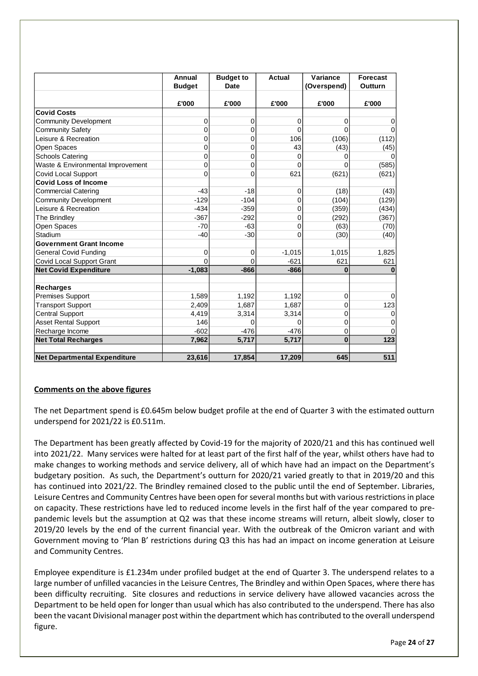|                                     | Annual        | <b>Budget to</b> | <b>Actual</b> | Variance    | <b>Forecast</b> |
|-------------------------------------|---------------|------------------|---------------|-------------|-----------------|
|                                     | <b>Budget</b> | <b>Date</b>      |               | (Overspend) | Outturn         |
|                                     | £'000         | £'000            | £'000         | £'000       | £'000           |
| <b>Covid Costs</b>                  |               |                  |               |             |                 |
| <b>Community Development</b>        | 0             | 0                | $\mathbf 0$   | 0           | 0               |
| <b>Community Safety</b>             | $\mathbf 0$   | 0                | 0             | $\Omega$    | $\Omega$        |
| Leisure & Recreation                | 0             | 0                | 106           | (106)       | (112)           |
| Open Spaces                         | $\mathbf 0$   | 0                | 43            | (43)        | (45)            |
| <b>Schools Catering</b>             | 0             | 0                | 0             | $\Omega$    | $\Omega$        |
| Waste & Environmental Improvement   | $\mathbf 0$   | 0                | $\Omega$      | $\Omega$    | (585)           |
| Covid Local Support                 | 0             | 0                | 621           | (621)       | (621)           |
| <b>Covid Loss of Income</b>         |               |                  |               |             |                 |
| <b>Commercial Catering</b>          | $-43$         | $-18$            | 0             | (18)        | (43)            |
| <b>Community Development</b>        | $-129$        | $-104$           | 0             | (104)       | (129)           |
| Leisure & Recreation                | $-434$        | $-359$           | 0             | (359)       | (434)           |
| The Brindley                        | $-367$        | $-292$           | 0             | (292)       | (367)           |
| Open Spaces                         | $-70$         | $-63$            | 0             | (63)        | (70)            |
| Stadium                             | $-40$         | $-30$            | $\mathbf{0}$  | (30)        | (40)            |
| <b>Government Grant Income</b>      |               |                  |               |             |                 |
| <b>General Covid Funding</b>        | 0             | 0                | $-1,015$      | 1,015       | 1,825           |
| Covid Local Support Grant           | $\Omega$      | $\Omega$         | $-621$        | 621         | 621             |
| <b>Net Covid Expenditure</b>        | $-1,083$      | $-866$           | $-866$        | $\bf{0}$    |                 |
| <b>Recharges</b>                    |               |                  |               |             |                 |
| <b>Premises Support</b>             | 1,589         | 1,192            | 1,192         | 0           | $\Omega$        |
| <b>Transport Support</b>            | 2,409         | 1,687            | 1,687         | $\mathbf 0$ | 123             |
| <b>Central Support</b>              | 4,419         | 3,314            | 3,314         | $\mathbf 0$ | $\mathbf 0$     |
| <b>Asset Rental Support</b>         | 146           | 0                | 0             | $\pmb{0}$   | 0               |
| Recharge Income                     | $-602$        | $-476$           | $-476$        | $\mathbf 0$ | $\Omega$        |
| <b>Net Total Recharges</b>          | 7,962         | 5,717            | 5,717         | $\bf{0}$    | 123             |
|                                     |               |                  |               |             |                 |
| <b>Net Departmental Expenditure</b> | 23,616        | 17,854           | 17,209        | 645         | 511             |

#### **Comments on the above figures**

The net Department spend is £0.645m below budget profile at the end of Quarter 3 with the estimated outturn underspend for 2021/22 is £0.511m.

The Department has been greatly affected by Covid-19 for the majority of 2020/21 and this has continued well into 2021/22. Many services were halted for at least part of the first half of the year, whilst others have had to make changes to working methods and service delivery, all of which have had an impact on the Department's budgetary position. As such, the Department's outturn for 2020/21 varied greatly to that in 2019/20 and this has continued into 2021/22. The Brindley remained closed to the public until the end of September. Libraries, Leisure Centres and Community Centres have been open for several months but with various restrictions in place on capacity. These restrictions have led to reduced income levels in the first half of the year compared to prepandemic levels but the assumption at Q2 was that these income streams will return, albeit slowly, closer to 2019/20 levels by the end of the current financial year. With the outbreak of the Omicron variant and with Government moving to 'Plan B' restrictions during Q3 this has had an impact on income generation at Leisure and Community Centres.

Employee expenditure is £1.234m under profiled budget at the end of Quarter 3. The underspend relates to a large number of unfilled vacancies in the Leisure Centres, The Brindley and within Open Spaces, where there has been difficulty recruiting. Site closures and reductions in service delivery have allowed vacancies across the Department to be held open for longer than usual which has also contributed to the underspend. There has also been the vacant Divisional manager post within the department which has contributed to the overall underspend figure.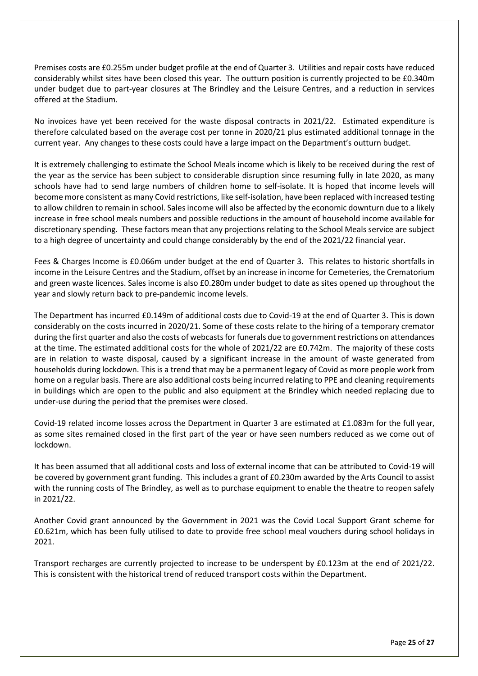Premises costs are £0.255m under budget profile at the end of Quarter 3. Utilities and repair costs have reduced considerably whilst sites have been closed this year. The outturn position is currently projected to be £0.340m under budget due to part-year closures at The Brindley and the Leisure Centres, and a reduction in services offered at the Stadium.

No invoices have yet been received for the waste disposal contracts in 2021/22. Estimated expenditure is therefore calculated based on the average cost per tonne in 2020/21 plus estimated additional tonnage in the current year. Any changes to these costs could have a large impact on the Department's outturn budget.

It is extremely challenging to estimate the School Meals income which is likely to be received during the rest of the year as the service has been subject to considerable disruption since resuming fully in late 2020, as many schools have had to send large numbers of children home to self-isolate. It is hoped that income levels will become more consistent as many Covid restrictions, like self-isolation, have been replaced with increased testing to allow children to remain in school. Sales income will also be affected by the economic downturn due to a likely increase in free school meals numbers and possible reductions in the amount of household income available for discretionary spending. These factors mean that any projections relating to the School Meals service are subject to a high degree of uncertainty and could change considerably by the end of the 2021/22 financial year.

Fees & Charges Income is £0.066m under budget at the end of Quarter 3. This relates to historic shortfalls in income in the Leisure Centres and the Stadium, offset by an increase in income for Cemeteries, the Crematorium and green waste licences. Sales income is also £0.280m under budget to date as sites opened up throughout the year and slowly return back to pre-pandemic income levels.

The Department has incurred £0.149m of additional costs due to Covid-19 at the end of Quarter 3. This is down considerably on the costs incurred in 2020/21. Some of these costs relate to the hiring of a temporary cremator during the first quarter and also the costs of webcasts for funerals due to government restrictions on attendances at the time. The estimated additional costs for the whole of 2021/22 are £0.742m. The majority of these costs are in relation to waste disposal, caused by a significant increase in the amount of waste generated from households during lockdown. This is a trend that may be a permanent legacy of Covid as more people work from home on a regular basis. There are also additional costs being incurred relating to PPE and cleaning requirements in buildings which are open to the public and also equipment at the Brindley which needed replacing due to under-use during the period that the premises were closed.

Covid-19 related income losses across the Department in Quarter 3 are estimated at £1.083m for the full year, as some sites remained closed in the first part of the year or have seen numbers reduced as we come out of lockdown.

It has been assumed that all additional costs and loss of external income that can be attributed to Covid-19 will be covered by government grant funding. This includes a grant of £0.230m awarded by the Arts Council to assist with the running costs of The Brindley, as well as to purchase equipment to enable the theatre to reopen safely in 2021/22.

Another Covid grant announced by the Government in 2021 was the Covid Local Support Grant scheme for £0.621m, which has been fully utilised to date to provide free school meal vouchers during school holidays in 2021.

Transport recharges are currently projected to increase to be underspent by £0.123m at the end of 2021/22. This is consistent with the historical trend of reduced transport costs within the Department.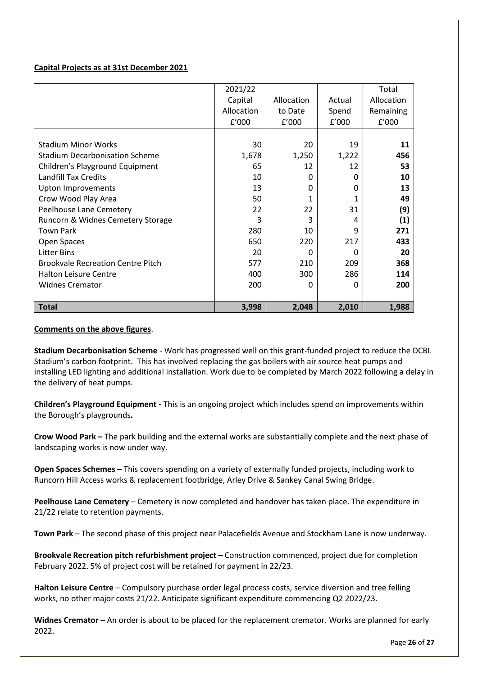#### **Capital Projects as at 31st December 2021**

| <b>Total</b>                             | 3,998      | 2,048      | 2,010    | 1,988      |
|------------------------------------------|------------|------------|----------|------------|
| <b>Widnes Cremator</b>                   | 200        | 0          | $\Omega$ | 200        |
| <b>Halton Leisure Centre</b>             | 400        | 300        | 286      | 114        |
| <b>Brookvale Recreation Centre Pitch</b> | 577        | 210        | 209      | 368        |
| <b>Litter Bins</b>                       | 20         | $\Omega$   | 0        | 20         |
| Open Spaces                              |            |            |          |            |
|                                          | 650        | 220        | 217      | 433        |
| <b>Town Park</b>                         | 280        | 10         | 9        | 271        |
| Runcorn & Widnes Cemetery Storage        | 3          | 3          | 4        | (1)        |
| Peelhouse Lane Cemetery                  | 22         | 22         | 31       | (9)        |
| Crow Wood Play Area                      | 50         | 1          |          | 49         |
| <b>Upton Improvements</b>                | 13         | 0          | 0        | 13         |
| <b>Landfill Tax Credits</b>              | 10         | $\Omega$   | n        | 10         |
| Children's Playground Equipment          | 65         | 12         | 12       | 53         |
| <b>Stadium Decarbonisation Scheme</b>    | 1,678      | 1,250      | 1,222    | 456        |
| <b>Stadium Minor Works</b>               | 30         | 20         | 19       | 11         |
|                                          | f'000      | f'000      | f'000    | f'000      |
|                                          | Allocation | to Date    | Spend    | Remaining  |
|                                          | Capital    | Allocation | Actual   | Allocation |
|                                          |            |            |          |            |
|                                          | 2021/22    |            |          | Total      |

#### **Comments on the above figures**.

**Stadium Decarbonisation Scheme** - Work has progressed well on this grant-funded project to reduce the DCBL Stadium's carbon footprint. This has involved replacing the gas boilers with air source heat pumps and installing LED lighting and additional installation. Work due to be completed by March 2022 following a delay in the delivery of heat pumps.

**Children's Playground Equipment -** This is an ongoing project which includes spend on improvements within the Borough's playgrounds**.** 

**Crow Wood Park –** The park building and the external works are substantially complete and the next phase of landscaping works is now under way.

**Open Spaces Schemes –** This covers spending on a variety of externally funded projects, including work to Runcorn Hill Access works & replacement footbridge, Arley Drive & Sankey Canal Swing Bridge.

**Peelhouse Lane Cemetery** – Cemetery is now completed and handover has taken place. The expenditure in 21/22 relate to retention payments.

**Town Park** – The second phase of this project near Palacefields Avenue and Stockham Lane is now underway.

**Brookvale Recreation pitch refurbishment project** – Construction commenced, project due for completion February 2022. 5% of project cost will be retained for payment in 22/23.

**Halton Leisure Centre** – Compulsory purchase order legal process costs, service diversion and tree felling works, no other major costs 21/22. Anticipate significant expenditure commencing Q2 2022/23.

**Widnes Cremator –** An order is about to be placed for the replacement cremator. Works are planned for early 2022.